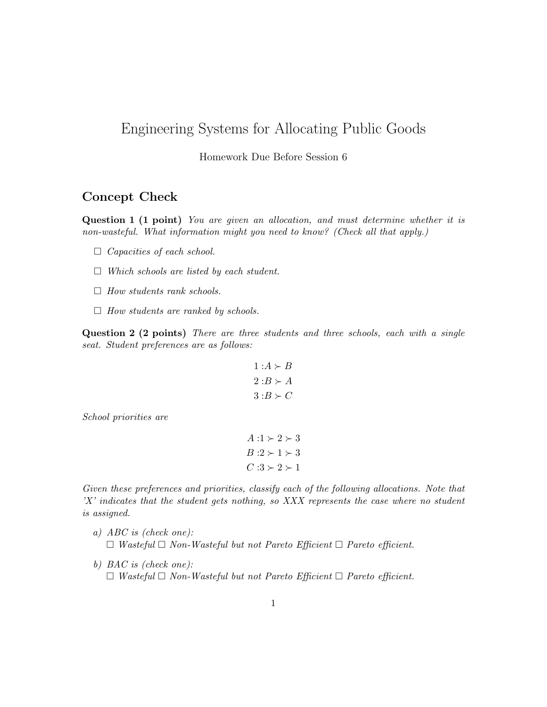## Engineering Systems for Allocating Public Goods

Homework Due Before Session 6

## Concept Check

Question 1 (1 point) You are given an allocation, and must determine whether it is non-wasteful. What information might you need to know? (Check all that apply.)

- $\Box$  Capacities of each school.
- $\Box$  Which schools are listed by each student.
- $\Box$  How students rank schools.
- $\Box$  How students are ranked by schools.

Question 2 (2 points) There are three students and three schools, each with a single seat. Student preferences are as follows:

$$
1: A \succ B
$$

$$
2: B \succ A
$$

$$
3: B \succ C
$$

School priorities are

$$
A:1 \succ 2 \succ 3
$$
  

$$
B:2 \succ 1 \succ 3
$$
  

$$
C:3 \succ 2 \succ 1
$$

Given these preferences and priorities, classify each of the following allocations. Note that 'X' indicates that the student gets nothing, so XXX represents the case where no student is assigned.

- a) ABC is (check one):  $\Box$  Wasteful  $\Box$  Non-Wasteful but not Pareto Efficient  $\Box$  Pareto efficient.
- b) BAC is (check one):  $\Box$  Wasteful  $\Box$  Non-Wasteful but not Pareto Efficient  $\Box$  Pareto efficient.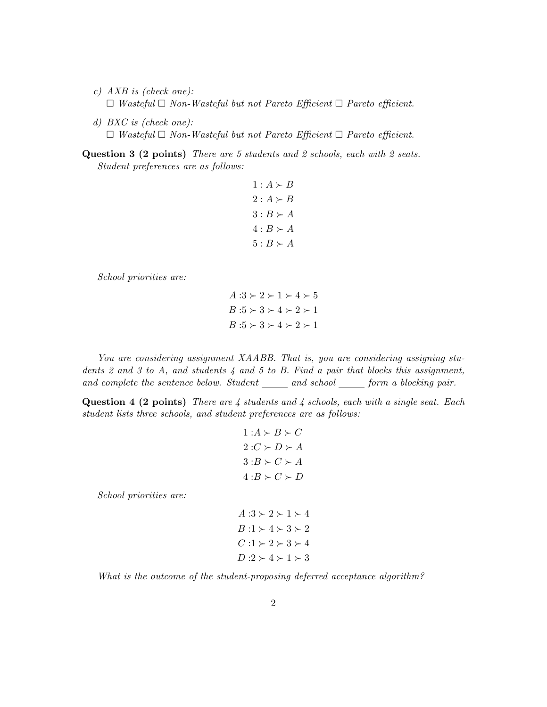- c) AXB is (check one):  $\Box$  Wasteful  $\Box$  Non-Wasteful but not Pareto Efficient  $\Box$  Pareto efficient.
- d) BXC is (check one):  $\Box$  Wasteful  $\Box$  Non-Wasteful but not Pareto Efficient  $\Box$  Pareto efficient.

Question 3 (2 points) There are 5 students and 2 schools, each with 2 seats. Student preferences are as follows:

> $1:A \succ B$  $2: A \succ B$  $3: B \succ A$  $4: B \succ A$  $5: B \succ A$

School priorities are:

 $A:3 \succ 2 \succ 1 \succ 4 \succ 5$  $B:5 \succ 3 \succ 4 \succ 2 \succ 1$  $B:5 \succ 3 \succ 4 \succ 2 \succ 1$ 

You are considering assignment XAABB. That is, you are considering assigning students 2 and 3 to A, and students  $\frac{1}{4}$  and 5 to B. Find a pair that blocks this assignment, and complete the sentence below. Student  $\_\_\_\_$  and school  $\_\_\_$  form a blocking pair.

**Question 4 (2 points)** There are  $\lambda$  students and  $\lambda$  schools, each with a single seat. Each student lists three schools, and student preferences are as follows:

$$
1: A \succ B \succ C
$$
  

$$
2: C \succ D \succ A
$$
  

$$
3: B \succ C \succ A
$$
  

$$
4: B \succ C \succ D
$$

School priorities are:

 $A:3 \succ 2 \succ 1 \succ 4$  $B:1 \succ 4 \succ 3 \succ 2$  $C:1 \succ 2 \succ 3 \succ 4$  $D:2 \succ 4 \succ 1 \succ 3$ 

What is the outcome of the student-proposing deferred acceptance algorithm?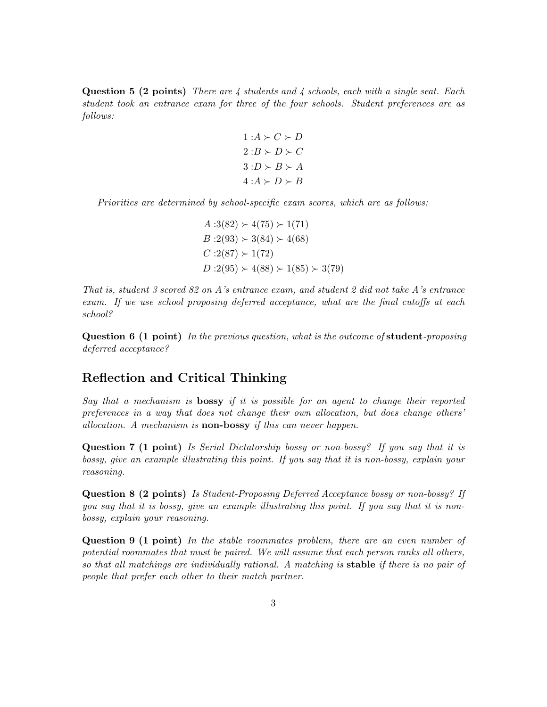**Question 5 (2 points)** There are 4 students and 4 schools, each with a single seat. Each student took an entrance exam for three of the four schools. Student preferences are as follows:

$$
1:A \succ C \succ D
$$
  

$$
2:B \succ D \succ C
$$
  

$$
3:D \succ B \succ A
$$
  

$$
4:A \succ D \succ B
$$

Priorities are determined by school-specific exam scores, which are as follows:

 $A:3(82) > 4(75) > 1(71)$  $B:2(93) \succ 3(84) \succ 4(68)$  $C:2(87) \succ 1(72)$  $D:2(95) \succ 4(88) \succ 1(85) \succ 3(79)$ 

That is, student 3 scored 82 on A's entrance exam, and student 2 did not take A's entrance exam. If we use school proposing deferred acceptance, what are the final cutoffs at each school?

**Question 6 (1 point)** In the previous question, what is the outcome of **student**-proposing deferred acceptance?

## Reflection and Critical Thinking

Say that a mechanism is bossy if it is possible for an agent to change their reported preferences in a way that does not change their own allocation, but does change others' allocation. A mechanism is non-bossy if this can never happen.

**Question 7 (1 point)** Is Serial Dictatorship bossy or non-bossy? If you say that it is bossy, give an example illustrating this point. If you say that it is non-bossy, explain your reasoning.

Question 8 (2 points) Is Student-Proposing Deferred Acceptance bossy or non-bossy? If you say that it is bossy, give an example illustrating this point. If you say that it is nonbossy, explain your reasoning.

Question 9 (1 point) In the stable roommates problem, there are an even number of potential roommates that must be paired. We will assume that each person ranks all others, so that all matchings are individually rational. A matching is stable if there is no pair of people that prefer each other to their match partner.